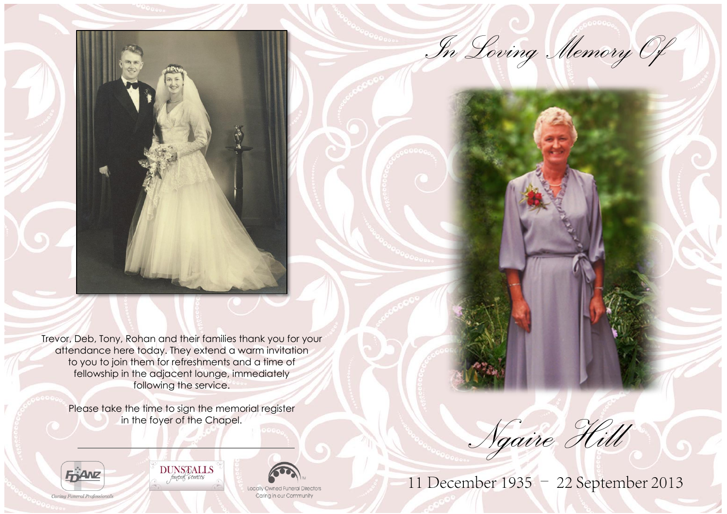*In Loving Memory Of*

n<br>a

Ę

i

Trevor, Deb, Tony, Rohan and their families thank you for your attendance here today. They extend a warm invitation to you to join them for refreshments and a time of fellowship in the adjacent lounge, immediately following the service.

Please take the time to sign the memorial register in the foyer of the Chapel.





**Locally Owned Funeral Directors** Carina in our Community

*Ngaire Hill*

11 December 1935 - 22 September 2013